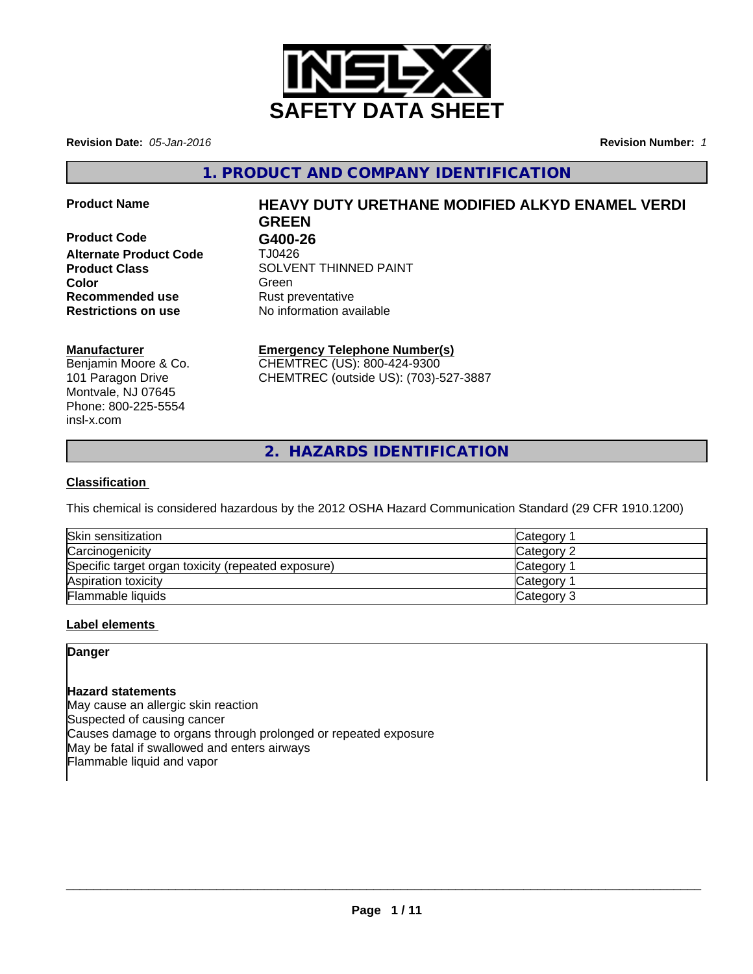

**Revision Date:** *05-Jan-2016* **Revision Number:** *1*

**1. PRODUCT AND COMPANY IDENTIFICATION**

**Product Code G400-26 Alternate Product Code** TJ0426 **Recommended use** Rust preventative **Restrictions on use** No information available

# **Product Name HEAVY DUTY URETHANE MODIFIED ALKYD ENAMEL VERDI GREEN**

**Product Class SOLVENT THINNED PAINT Color** Green **Green** Green **Green** 

#### **Manufacturer**

Benjamin Moore & Co. 101 Paragon Drive Montvale, NJ 07645 Phone: 800-225-5554 insl-x.com

# **Emergency Telephone Number(s)**

CHEMTREC (US): 800-424-9300 CHEMTREC (outside US): (703)-527-3887

**2. HAZARDS IDENTIFICATION**

# **Classification**

This chemical is considered hazardous by the 2012 OSHA Hazard Communication Standard (29 CFR 1910.1200)

| Skin sensitization                                 | Category        |
|----------------------------------------------------|-----------------|
| Carcinogenicity                                    | Category 2      |
| Specific target organ toxicity (repeated exposure) | <b>Category</b> |
| Aspiration toxicity                                | Category        |
| Flammable liquids                                  | Category 3      |

#### **Label elements**

### **Danger**

#### **Hazard statements**

May cause an allergic skin reaction Suspected of causing cancer Causes damage to organs through prolonged or repeated exposure May be fatal if swallowed and enters airways Flammable liquid and vapor

 $\overline{\phantom{a}}$  ,  $\overline{\phantom{a}}$  ,  $\overline{\phantom{a}}$  ,  $\overline{\phantom{a}}$  ,  $\overline{\phantom{a}}$  ,  $\overline{\phantom{a}}$  ,  $\overline{\phantom{a}}$  ,  $\overline{\phantom{a}}$  ,  $\overline{\phantom{a}}$  ,  $\overline{\phantom{a}}$  ,  $\overline{\phantom{a}}$  ,  $\overline{\phantom{a}}$  ,  $\overline{\phantom{a}}$  ,  $\overline{\phantom{a}}$  ,  $\overline{\phantom{a}}$  ,  $\overline{\phantom{a}}$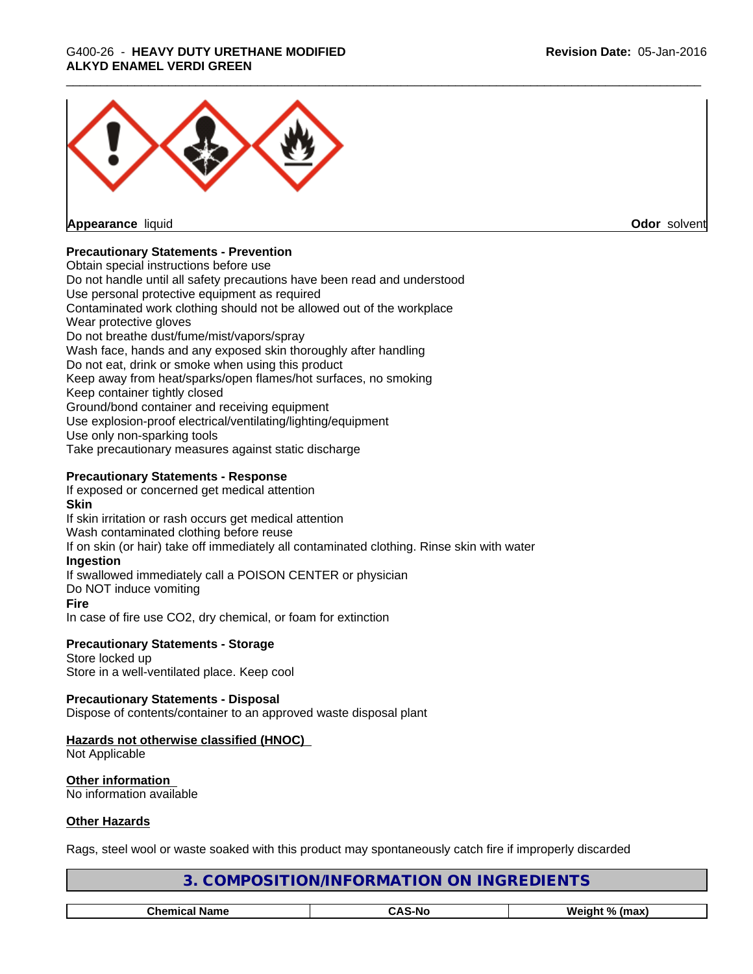# \_\_\_\_\_\_\_\_\_\_\_\_\_\_\_\_\_\_\_\_\_\_\_\_\_\_\_\_\_\_\_\_\_\_\_\_\_\_\_\_\_\_\_\_\_\_\_\_\_\_\_\_\_\_\_\_\_\_\_\_\_\_\_\_\_\_\_\_\_\_\_\_\_\_\_\_\_\_\_\_\_\_\_\_\_\_\_\_\_\_\_\_\_ G400-26 - **HEAVY DUTY URETHANE MODIFIED ALKYD ENAMEL VERDI GREEN**



**Appearance** liquid **Odor** solvent

#### **Precautionary Statements - Prevention**

Obtain special instructions before use Do not handle until all safety precautions have been read and understood Use personal protective equipment as required Contaminated work clothing should not be allowed out of the workplace Wear protective gloves Do not breathe dust/fume/mist/vapors/spray Wash face, hands and any exposed skin thoroughly after handling Do not eat, drink or smoke when using this product Keep away from heat/sparks/open flames/hot surfaces, no smoking Keep container tightly closed Ground/bond container and receiving equipment Use explosion-proof electrical/ventilating/lighting/equipment Use only non-sparking tools Take precautionary measures against static discharge

#### **Precautionary Statements - Response**

If exposed or concerned get medical attention

#### **Skin**

If skin irritation or rash occurs get medical attention Wash contaminated clothing before reuse If on skin (or hair) take off immediately all contaminated clothing. Rinse skin with water **Ingestion** If swallowed immediately call a POISON CENTER or physician Do NOT induce vomiting **Fire** In case of fire use CO2, dry chemical, or foam for extinction

#### **Precautionary Statements - Storage** Store locked up

Store in a well-ventilated place. Keep cool

#### **Precautionary Statements - Disposal**

Dispose of contents/container to an approved waste disposal plant

# **Hazards not otherwise classified (HNOC)**

Not Applicable

**Other information** No information available

#### **Other Hazards**

Rags, steel wool or waste soaked with this product may spontaneously catch fire if improperly discarded

| DIENTS<br><b>INGRET</b><br>)RMA<br>эNІ<br>эNІ<br>)N/INFC<br>- 16 |  |  |  |
|------------------------------------------------------------------|--|--|--|
|                                                                  |  |  |  |
| <b>CAS-No</b><br><b>Chemical Name</b><br>Weight % (max)          |  |  |  |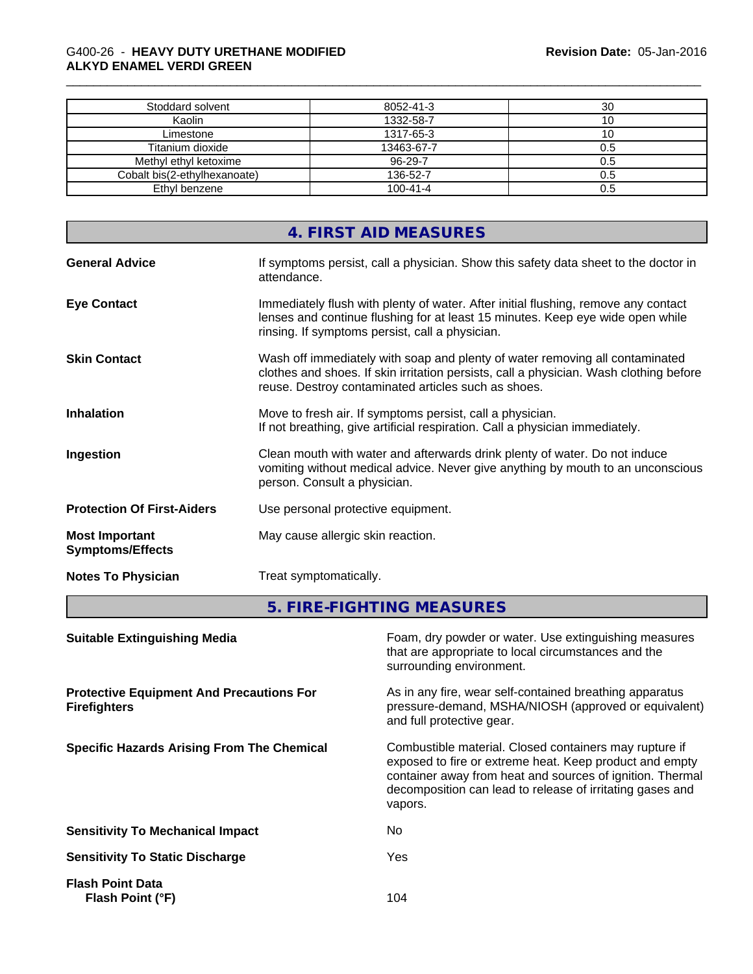### \_\_\_\_\_\_\_\_\_\_\_\_\_\_\_\_\_\_\_\_\_\_\_\_\_\_\_\_\_\_\_\_\_\_\_\_\_\_\_\_\_\_\_\_\_\_\_\_\_\_\_\_\_\_\_\_\_\_\_\_\_\_\_\_\_\_\_\_\_\_\_\_\_\_\_\_\_\_\_\_\_\_\_\_\_\_\_\_\_\_\_\_\_ G400-26 - **HEAVY DUTY URETHANE MODIFIED ALKYD ENAMEL VERDI GREEN**

| Stoddard solvent             | 8052-41-3      | 30  |
|------------------------------|----------------|-----|
| Kaolin                       | 1332-58-7      | ιu  |
| Limestone                    | 1317-65-3      | 1 U |
| Titanium dioxide             | 13463-67-7     | 0.5 |
| Methyl ethyl ketoxime        | $96 - 29 - 7$  | 0.5 |
| Cobalt bis(2-ethylhexanoate) | 136-52-7       |     |
| Ethyl benzene                | $100 - 41 - 4$ | 0.5 |

|                                                  | 4. FIRST AID MEASURES                                                                                                                                                                                                         |
|--------------------------------------------------|-------------------------------------------------------------------------------------------------------------------------------------------------------------------------------------------------------------------------------|
| <b>General Advice</b>                            | If symptoms persist, call a physician. Show this safety data sheet to the doctor in<br>attendance.                                                                                                                            |
| <b>Eye Contact</b>                               | Immediately flush with plenty of water. After initial flushing, remove any contact<br>lenses and continue flushing for at least 15 minutes. Keep eye wide open while<br>rinsing. If symptoms persist, call a physician.       |
| <b>Skin Contact</b>                              | Wash off immediately with soap and plenty of water removing all contaminated<br>clothes and shoes. If skin irritation persists, call a physician. Wash clothing before<br>reuse. Destroy contaminated articles such as shoes. |
| <b>Inhalation</b>                                | Move to fresh air. If symptoms persist, call a physician.<br>If not breathing, give artificial respiration. Call a physician immediately.                                                                                     |
| Ingestion                                        | Clean mouth with water and afterwards drink plenty of water. Do not induce<br>vomiting without medical advice. Never give anything by mouth to an unconscious<br>person. Consult a physician.                                 |
| <b>Protection Of First-Aiders</b>                | Use personal protective equipment.                                                                                                                                                                                            |
| <b>Most Important</b><br><b>Symptoms/Effects</b> | May cause allergic skin reaction.                                                                                                                                                                                             |
| <b>Notes To Physician</b>                        | Treat symptomatically.                                                                                                                                                                                                        |
|                                                  |                                                                                                                                                                                                                               |

**5. FIRE-FIGHTING MEASURES**

| <b>Suitable Extinguishing Media</b>                                    | Foam, dry powder or water. Use extinguishing measures<br>that are appropriate to local circumstances and the<br>surrounding environment.                                                                                                               |
|------------------------------------------------------------------------|--------------------------------------------------------------------------------------------------------------------------------------------------------------------------------------------------------------------------------------------------------|
| <b>Protective Equipment And Precautions For</b><br><b>Firefighters</b> | As in any fire, wear self-contained breathing apparatus<br>pressure-demand, MSHA/NIOSH (approved or equivalent)<br>and full protective gear.                                                                                                           |
| <b>Specific Hazards Arising From The Chemical</b>                      | Combustible material. Closed containers may rupture if<br>exposed to fire or extreme heat. Keep product and empty<br>container away from heat and sources of ignition. Thermal<br>decomposition can lead to release of irritating gases and<br>vapors. |
| <b>Sensitivity To Mechanical Impact</b>                                | No.                                                                                                                                                                                                                                                    |
| <b>Sensitivity To Static Discharge</b>                                 | Yes                                                                                                                                                                                                                                                    |
| <b>Flash Point Data</b><br>Flash Point (°F)                            | 104                                                                                                                                                                                                                                                    |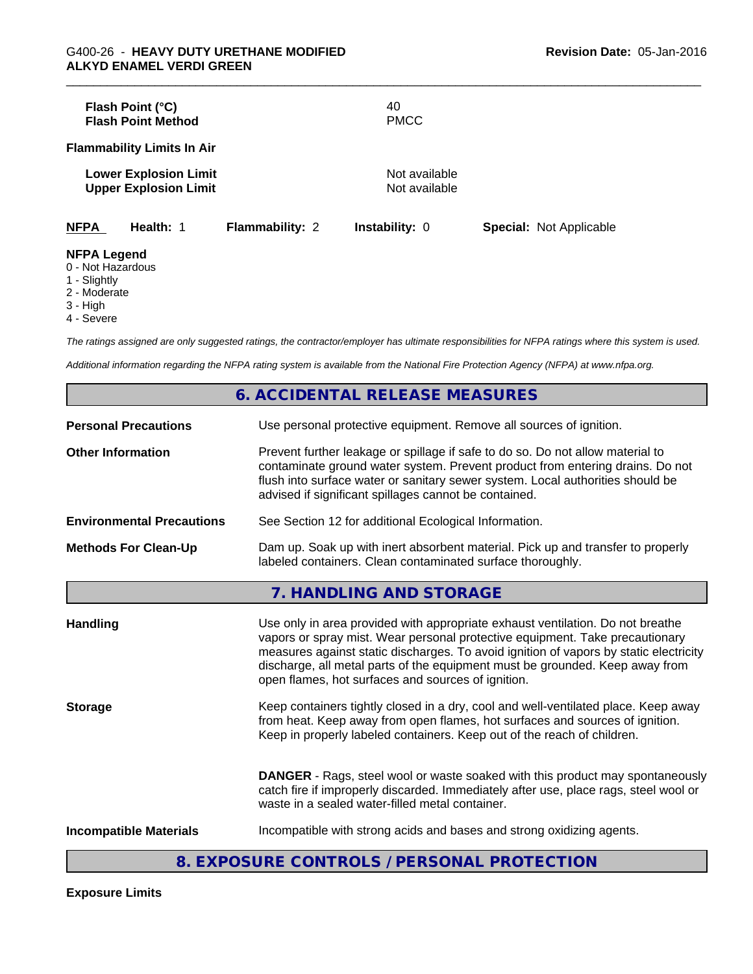|                                       | Flash Point (°C)<br><b>Flash Point Method</b>                |                        | 40<br><b>PMCC</b>              |                                |  |
|---------------------------------------|--------------------------------------------------------------|------------------------|--------------------------------|--------------------------------|--|
|                                       | <b>Flammability Limits In Air</b>                            |                        |                                |                                |  |
|                                       | <b>Lower Explosion Limit</b><br><b>Upper Explosion Limit</b> |                        | Not available<br>Not available |                                |  |
| <b>NFPA</b>                           | Health: 1                                                    | <b>Flammability: 2</b> | <b>Instability: 0</b>          | <b>Special: Not Applicable</b> |  |
| <b>NFPA Legend</b><br>0 Not Hozordoug |                                                              |                        |                                |                                |  |

0 - Not Hazardous

1 - Slightly

2 - Moderate

3 - High

4 - Severe

*The ratings assigned are only suggested ratings, the contractor/employer has ultimate responsibilities for NFPA ratings where this system is used.*

*Additional information regarding the NFPA rating system is available from the National Fire Protection Agency (NFPA) at www.nfpa.org.*

|                                  | <b>6. ACCIDENTAL RELEASE MEASURES</b>                                                                                                                                                                                                                                                                                                                                                         |
|----------------------------------|-----------------------------------------------------------------------------------------------------------------------------------------------------------------------------------------------------------------------------------------------------------------------------------------------------------------------------------------------------------------------------------------------|
| <b>Personal Precautions</b>      | Use personal protective equipment. Remove all sources of ignition.                                                                                                                                                                                                                                                                                                                            |
| <b>Other Information</b>         | Prevent further leakage or spillage if safe to do so. Do not allow material to<br>contaminate ground water system. Prevent product from entering drains. Do not<br>flush into surface water or sanitary sewer system. Local authorities should be<br>advised if significant spillages cannot be contained.                                                                                    |
| <b>Environmental Precautions</b> | See Section 12 for additional Ecological Information.                                                                                                                                                                                                                                                                                                                                         |
| <b>Methods For Clean-Up</b>      | Dam up. Soak up with inert absorbent material. Pick up and transfer to properly<br>labeled containers. Clean contaminated surface thoroughly.                                                                                                                                                                                                                                                 |
|                                  | 7. HANDLING AND STORAGE                                                                                                                                                                                                                                                                                                                                                                       |
| <b>Handling</b>                  | Use only in area provided with appropriate exhaust ventilation. Do not breathe<br>vapors or spray mist. Wear personal protective equipment. Take precautionary<br>measures against static discharges. To avoid ignition of vapors by static electricity<br>discharge, all metal parts of the equipment must be grounded. Keep away from<br>open flames, hot surfaces and sources of ignition. |
| <b>Storage</b>                   | Keep containers tightly closed in a dry, cool and well-ventilated place. Keep away<br>from heat. Keep away from open flames, hot surfaces and sources of ignition.<br>Keep in properly labeled containers. Keep out of the reach of children.                                                                                                                                                 |
|                                  | <b>DANGER</b> - Rags, steel wool or waste soaked with this product may spontaneously<br>catch fire if improperly discarded. Immediately after use, place rags, steel wool or<br>waste in a sealed water-filled metal container.                                                                                                                                                               |
| <b>Incompatible Materials</b>    | Incompatible with strong acids and bases and strong oxidizing agents.                                                                                                                                                                                                                                                                                                                         |

# **8. EXPOSURE CONTROLS / PERSONAL PROTECTION**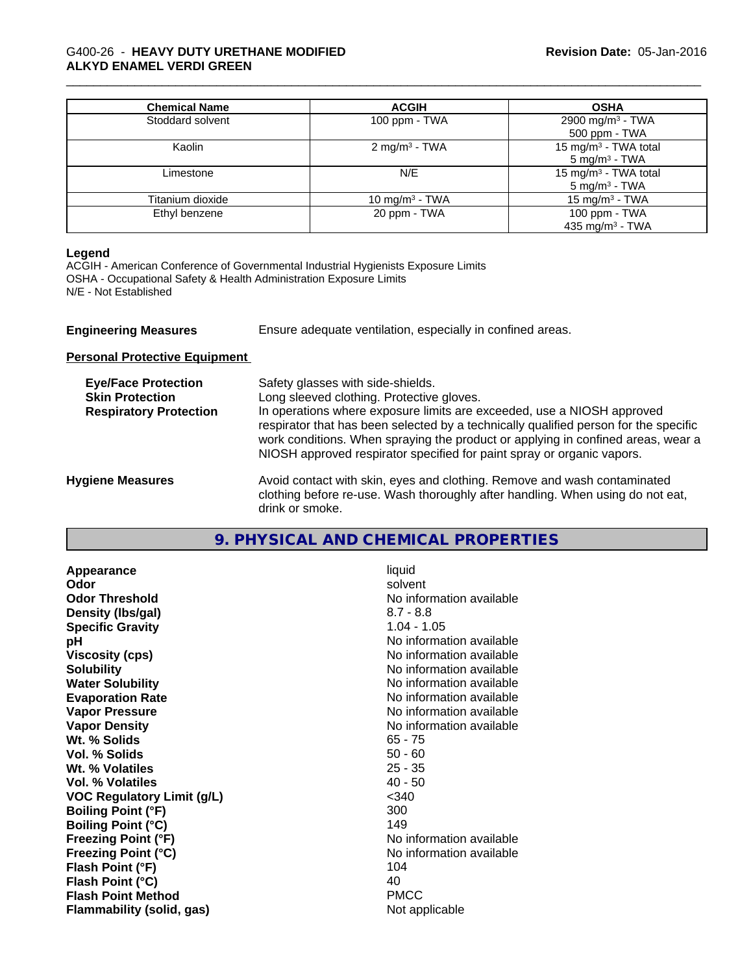# \_\_\_\_\_\_\_\_\_\_\_\_\_\_\_\_\_\_\_\_\_\_\_\_\_\_\_\_\_\_\_\_\_\_\_\_\_\_\_\_\_\_\_\_\_\_\_\_\_\_\_\_\_\_\_\_\_\_\_\_\_\_\_\_\_\_\_\_\_\_\_\_\_\_\_\_\_\_\_\_\_\_\_\_\_\_\_\_\_\_\_\_\_ G400-26 - **HEAVY DUTY URETHANE MODIFIED ALKYD ENAMEL VERDI GREEN**

| <b>Chemical Name</b> | <b>ACGIH</b>               | <b>OSHA</b>                                                  |
|----------------------|----------------------------|--------------------------------------------------------------|
| Stoddard solvent     | 100 ppm - TWA              | 2900 mg/m <sup>3</sup> - TWA<br>500 ppm - TWA                |
| Kaolin               | 2 mg/m <sup>3</sup> - TWA  | 15 mg/m <sup>3</sup> - TWA total<br>$5 \text{ mg/m}^3$ - TWA |
| Limestone            | N/E                        | 15 mg/m <sup>3</sup> - TWA total<br>$5 \text{ mg/m}^3$ - TWA |
| Titanium dioxide     | 10 mg/m <sup>3</sup> - TWA | 15 mg/m $3$ - TWA                                            |
| Ethyl benzene        | 20 ppm - TWA               | 100 ppm - TWA<br>435 mg/m <sup>3</sup> - TWA                 |

#### **Legend**

ACGIH - American Conference of Governmental Industrial Hygienists Exposure Limits OSHA - Occupational Safety & Health Administration Exposure Limits N/E - Not Established

| <b>Engineering Measures</b>                          | Ensure adequate ventilation, especially in confined areas.                     |
|------------------------------------------------------|--------------------------------------------------------------------------------|
| <b>Personal Protective Equipment</b>                 |                                                                                |
| <b>Eye/Face Protection</b><br><b>Skin Protection</b> | Safety glasses with side-shields.<br>Long sleeved clothing. Protective gloves. |

| <b>Respiratory Protection</b> | In operations where exposure limits are exceeded, use a NIOSH approved               |
|-------------------------------|--------------------------------------------------------------------------------------|
|                               | respirator that has been selected by a technically qualified person for the specific |
|                               | work conditions. When spraying the product or applying in confined areas, wear a     |
|                               | NIOSH approved respirator specified for paint spray or organic vapors.               |
|                               |                                                                                      |
| aauseaM anair                 | Avoid contact with skin, avec and clothing. Remove and wash contaminated             |

# **9. PHYSICAL AND CHEMICAL PROPERTIES**

| Appearance                        | liquid                   |
|-----------------------------------|--------------------------|
| Odor                              | solvent                  |
| <b>Odor Threshold</b>             | No information available |
| Density (Ibs/gal)                 | $8.7 - 8.8$              |
| <b>Specific Gravity</b>           | $1.04 - 1.05$            |
| рH                                | No information available |
| <b>Viscosity (cps)</b>            | No information available |
| <b>Solubility</b>                 | No information available |
| <b>Water Solubility</b>           | No information available |
| <b>Evaporation Rate</b>           | No information available |
| <b>Vapor Pressure</b>             | No information available |
| <b>Vapor Density</b>              | No information available |
| Wt. % Solids                      | $65 - 75$                |
| Vol. % Solids                     | $50 - 60$                |
| Wt. % Volatiles                   | $25 - 35$                |
| Vol. % Volatiles                  | $40 - 50$                |
| <b>VOC Regulatory Limit (g/L)</b> | $340$                    |
| <b>Boiling Point (°F)</b>         | 300                      |
| <b>Boiling Point (°C)</b>         | 149                      |
| <b>Freezing Point (°F)</b>        | No information available |
| <b>Freezing Point (°C)</b>        | No information available |
| Flash Point (°F)                  | 104                      |
| Flash Point (°C)                  | 40                       |
| <b>Flash Point Method</b>         | <b>PMCC</b>              |
| Flammability (solid, gas)         | Not applicable           |

**Hygiene Measures Avoid contact with skin, eyes and clothing. Remove and wash contaminated** clothing before re-use. Wash thoroughly after handling. When using do not eat, drink or smoke.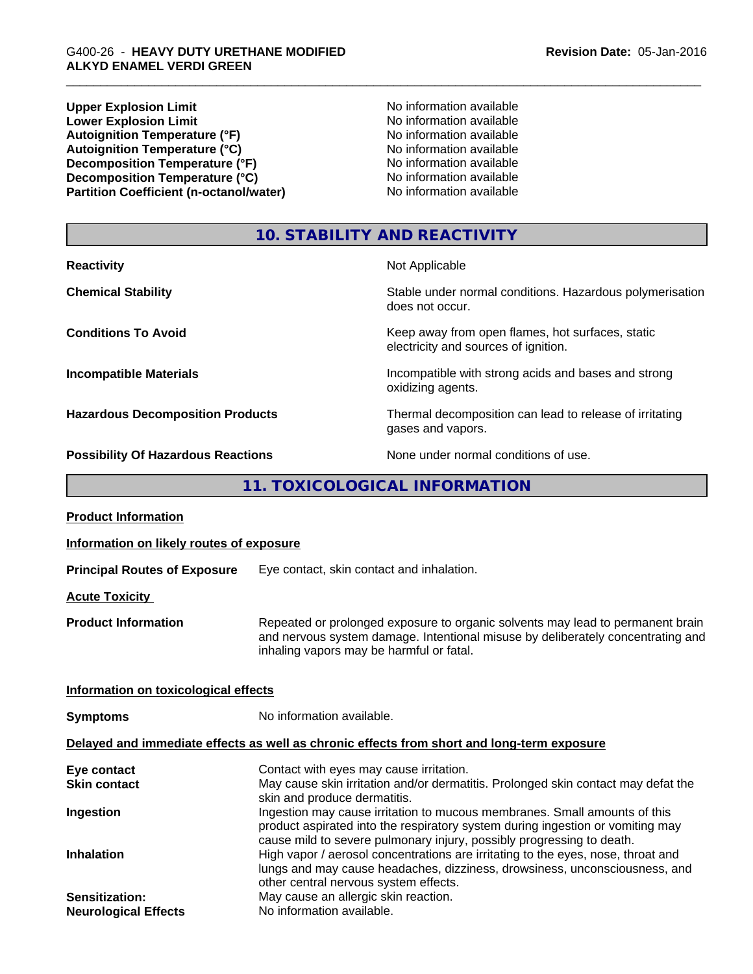**Upper Explosion Limit**<br> **Lower Explosion Limit**<br> **Lower Explosion Limit** No information available **Lower Explosion Limit**<br> **Autoignition Temperature (°F)**<br> **Autoignition Temperature (°F)**<br> **Autoignition Temperature (°F)**<br> **Autoignition Temperature (°F)** Autoignition Temperature (°F)<br>
Autoignition Temperature (°C)<br>
No information available Autoignition Temperature (°C)<br>
Decomposition Temperature (°F)<br>
No information available **Decomposition Temperature (°F)**<br> **Decomposition Temperature (°C)**<br>
No information available<br>
No information available **Decomposition Temperature (°C)**<br> **Partition Coefficient (n-octanol/water)** No information available **Partition Coefficient (n-octanol/water)** 

# **10. STABILITY AND REACTIVITY**

| <b>Reactivity</b>                         | Not Applicable                                                                           |
|-------------------------------------------|------------------------------------------------------------------------------------------|
| <b>Chemical Stability</b>                 | Stable under normal conditions. Hazardous polymerisation<br>does not occur.              |
| <b>Conditions To Avoid</b>                | Keep away from open flames, hot surfaces, static<br>electricity and sources of ignition. |
| <b>Incompatible Materials</b>             | Incompatible with strong acids and bases and strong<br>oxidizing agents.                 |
| <b>Hazardous Decomposition Products</b>   | Thermal decomposition can lead to release of irritating<br>gases and vapors.             |
| <b>Possibility Of Hazardous Reactions</b> | None under normal conditions of use.                                                     |

**11. TOXICOLOGICAL INFORMATION**

| <b>Product Information</b>                    |                                                                                                                                                                                                                                      |
|-----------------------------------------------|--------------------------------------------------------------------------------------------------------------------------------------------------------------------------------------------------------------------------------------|
| Information on likely routes of exposure      |                                                                                                                                                                                                                                      |
| <b>Principal Routes of Exposure</b>           | Eye contact, skin contact and inhalation.                                                                                                                                                                                            |
| <b>Acute Toxicity</b>                         |                                                                                                                                                                                                                                      |
| <b>Product Information</b>                    | Repeated or prolonged exposure to organic solvents may lead to permanent brain<br>and nervous system damage. Intentional misuse by deliberately concentrating and<br>inhaling vapors may be harmful or fatal.                        |
| Information on toxicological effects          |                                                                                                                                                                                                                                      |
| <b>Symptoms</b>                               | No information available.                                                                                                                                                                                                            |
|                                               | Delayed and immediate effects as well as chronic effects from short and long-term exposure                                                                                                                                           |
| Eye contact                                   | Contact with eyes may cause irritation.                                                                                                                                                                                              |
| <b>Skin contact</b>                           | May cause skin irritation and/or dermatitis. Prolonged skin contact may defat the<br>skin and produce dermatitis.                                                                                                                    |
| Ingestion                                     | Ingestion may cause irritation to mucous membranes. Small amounts of this<br>product aspirated into the respiratory system during ingestion or vomiting may<br>cause mild to severe pulmonary injury, possibly progressing to death. |
| <b>Inhalation</b>                             | High vapor / aerosol concentrations are irritating to the eyes, nose, throat and<br>lungs and may cause headaches, dizziness, drowsiness, unconsciousness, and<br>other central nervous system effects.                              |
| Sensitization:<br><b>Neurological Effects</b> | May cause an allergic skin reaction.<br>No information available.                                                                                                                                                                    |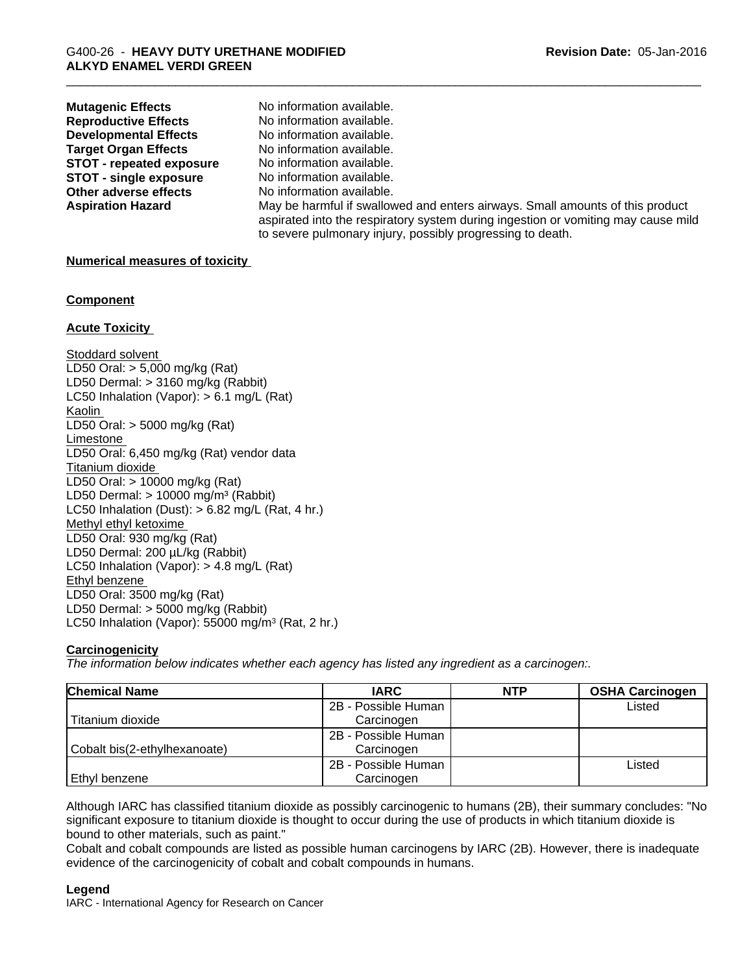| <b>Mutagenic Effects</b>        | No information available.                                                                                                                                                                                                        |
|---------------------------------|----------------------------------------------------------------------------------------------------------------------------------------------------------------------------------------------------------------------------------|
| <b>Reproductive Effects</b>     | No information available.                                                                                                                                                                                                        |
| <b>Developmental Effects</b>    | No information available.                                                                                                                                                                                                        |
| <b>Target Organ Effects</b>     | No information available.                                                                                                                                                                                                        |
| <b>STOT - repeated exposure</b> | No information available.                                                                                                                                                                                                        |
| <b>STOT - single exposure</b>   | No information available.                                                                                                                                                                                                        |
| Other adverse effects           | No information available.                                                                                                                                                                                                        |
| <b>Aspiration Hazard</b>        | May be harmful if swallowed and enters airways. Small amounts of this product<br>aspirated into the respiratory system during ingestion or vomiting may cause mild<br>to severe pulmonary injury, possibly progressing to death. |
|                                 |                                                                                                                                                                                                                                  |

#### **Numerical measures of toxicity**

#### **Component**

#### **Acute Toxicity**

Stoddard solvent LD50 Oral: > 5,000 mg/kg (Rat) LD50 Dermal: > 3160 mg/kg (Rabbit) LC50 Inhalation (Vapor): > 6.1 mg/L (Rat) Kaolin LD50 Oral: > 5000 mg/kg (Rat) Limestone LD50 Oral: 6,450 mg/kg (Rat) vendor data Titanium dioxide LD50 Oral: > 10000 mg/kg (Rat) LD50 Dermal:  $> 10000$  mg/m<sup>3</sup> (Rabbit) LC50 Inhalation (Dust):  $> 6.82$  mg/L (Rat, 4 hr.) Methyl ethyl ketoxime LD50 Oral: 930 mg/kg (Rat) LD50 Dermal: 200 µL/kg (Rabbit) LC50 Inhalation (Vapor): > 4.8 mg/L (Rat) Ethyl benzene LD50 Oral: 3500 mg/kg (Rat) LD50 Dermal: > 5000 mg/kg (Rabbit) LC50 Inhalation (Vapor): 55000 mg/m<sup>3</sup> (Rat, 2 hr.)

# **Carcinogenicity**

*The information below indicateswhether each agency has listed any ingredient as a carcinogen:.*

| <b>Chemical Name</b>         | <b>IARC</b>         | <b>NTP</b> | <b>OSHA Carcinogen</b> |
|------------------------------|---------------------|------------|------------------------|
|                              | 2B - Possible Human |            | Listed                 |
| Titanium dioxide             | Carcinogen          |            |                        |
|                              | 2B - Possible Human |            |                        |
| Cobalt bis(2-ethylhexanoate) | Carcinogen          |            |                        |
|                              | 2B - Possible Human |            | ∟isted                 |
| Ethyl benzene                | Carcinogen          |            |                        |

Although IARC has classified titanium dioxide as possibly carcinogenic to humans (2B), their summary concludes: "No significant exposure to titanium dioxide is thought to occur during the use of products in which titanium dioxide is bound to other materials, such as paint."

Cobalt and cobalt compounds are listed as possible human carcinogens by IARC (2B). However, there isinadequate evidence of the carcinogenicity of cobalt and cobalt compounds in humans.

#### **Legend**

IARC - International Agency for Research on Cancer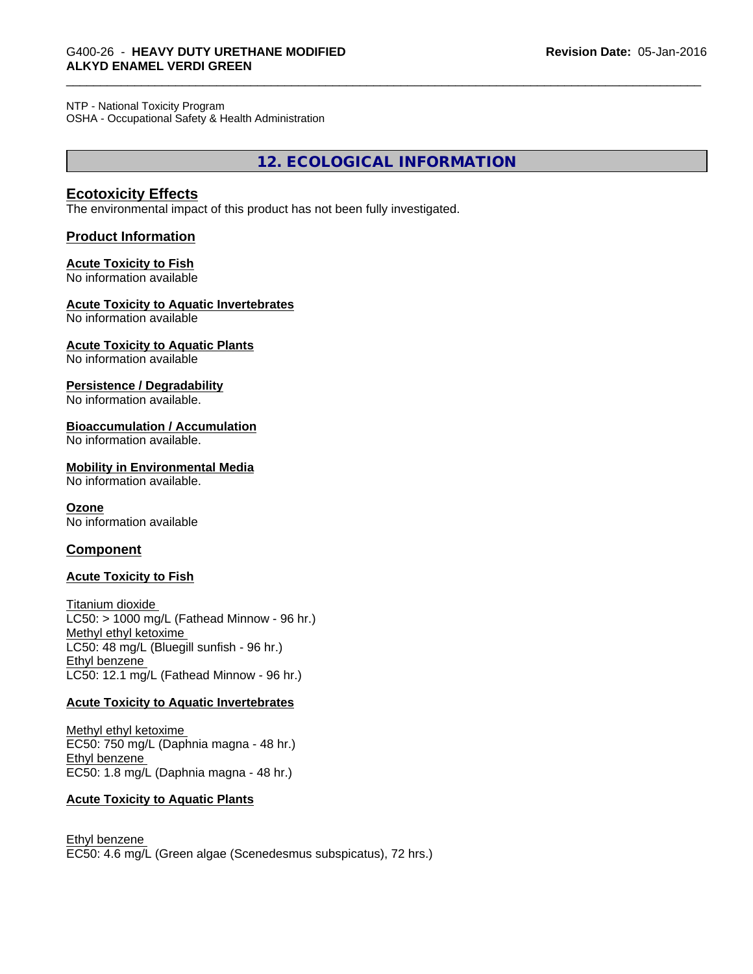#### NTP - National Toxicity Program

OSHA - Occupational Safety & Health Administration

**12. ECOLOGICAL INFORMATION**

#### **Ecotoxicity Effects**

The environmental impact of this product has not been fully investigated.

#### **Product Information**

#### **Acute Toxicity to Fish**

No information available

#### **Acute Toxicity to Aquatic Invertebrates**

No information available

#### **Acute Toxicity to Aquatic Plants**

No information available

#### **Persistence / Degradability**

No information available.

#### **Bioaccumulation / Accumulation**

No information available.

#### **Mobility in Environmental Media**

No information available.

#### **Ozone**

No information available

#### **Component**

#### **Acute Toxicity to Fish**

Titanium dioxide  $LC50:$  > 1000 mg/L (Fathead Minnow - 96 hr.) Methyl ethyl ketoxime LC50: 48 mg/L (Bluegill sunfish - 96 hr.) Ethyl benzene LC50: 12.1 mg/L (Fathead Minnow - 96 hr.)

#### **Acute Toxicity to Aquatic Invertebrates**

Methyl ethyl ketoxime EC50: 750 mg/L (Daphnia magna - 48 hr.) Ethyl benzene EC50: 1.8 mg/L (Daphnia magna - 48 hr.)

#### **Acute Toxicity to Aquatic Plants**

Ethyl benzene EC50: 4.6 mg/L (Green algae (Scenedesmus subspicatus), 72 hrs.)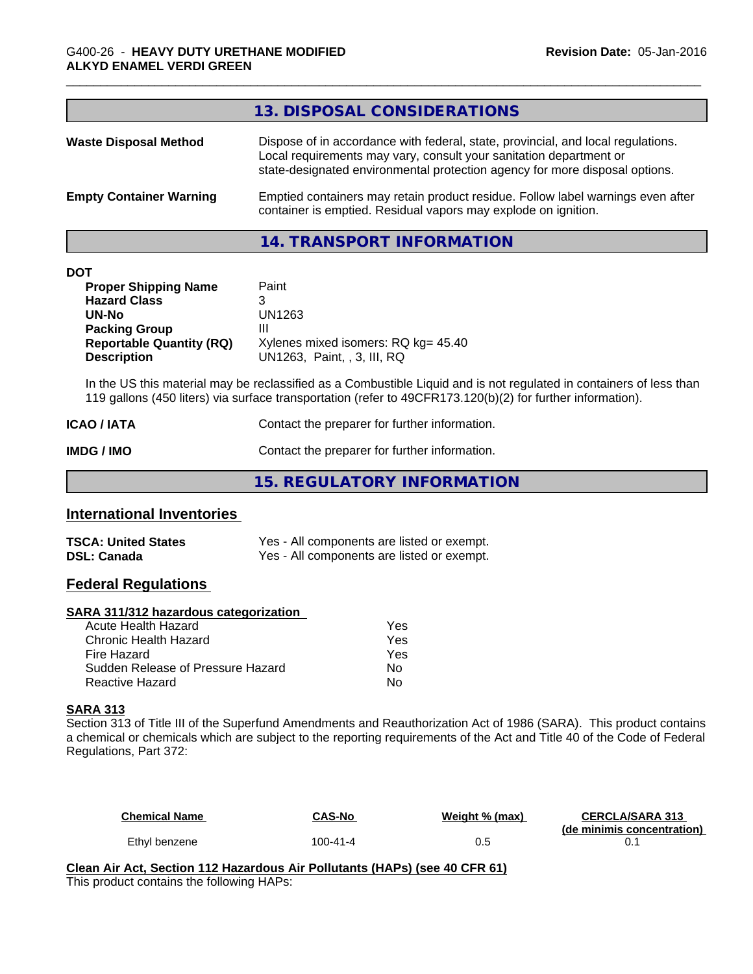|                                | 13. DISPOSAL CONSIDERATIONS                                                                                                                                                                                                           |
|--------------------------------|---------------------------------------------------------------------------------------------------------------------------------------------------------------------------------------------------------------------------------------|
| <b>Waste Disposal Method</b>   | Dispose of in accordance with federal, state, provincial, and local regulations.<br>Local requirements may vary, consult your sanitation department or<br>state-designated environmental protection agency for more disposal options. |
| <b>Empty Container Warning</b> | Emptied containers may retain product residue. Follow label warnings even after<br>container is emptied. Residual vapors may explode on ignition.                                                                                     |

#### **14. TRANSPORT INFORMATION**

| <b>DOT</b> |
|------------|
|------------|

| <b>Proper Shipping Name</b>     | Paint                               |
|---------------------------------|-------------------------------------|
| <b>Hazard Class</b>             | 3                                   |
| UN-No                           | UN1263                              |
| <b>Packing Group</b>            | Ш                                   |
| <b>Reportable Quantity (RQ)</b> | Xylenes mixed isomers: RQ kg= 45.40 |
| <b>Description</b>              | UN1263. Paint. . 3. III. RQ         |

In the US this material may be reclassified as a Combustible Liquid and is not regulated in containers of less than 119 gallons (450 liters) via surface transportation (refer to 49CFR173.120(b)(2) for further information).

| <b>ICAO / IATA</b> | Contact the preparer for further information. |
|--------------------|-----------------------------------------------|
| IMDG / IMO         | Contact the preparer for further information. |

**15. REGULATORY INFORMATION**

# **International Inventories**

| <b>TSCA: United States</b> | Yes - All components are listed or exempt. |
|----------------------------|--------------------------------------------|
| DSL: Canada                | Yes - All components are listed or exempt. |

# **Federal Regulations**

#### **SARA 311/312 hazardous categorization**

| Acute Health Hazard               | Yes |
|-----------------------------------|-----|
| Chronic Health Hazard             | Yes |
| Fire Hazard                       | Yes |
| Sudden Release of Pressure Hazard | Nο  |
| Reactive Hazard                   | N٥  |

#### **SARA 313**

Section 313 of Title III of the Superfund Amendments and Reauthorization Act of 1986 (SARA). This product contains a chemical or chemicals which are subject to the reporting requirements of the Act and Title 40 of the Code of Federal Regulations, Part 372:

| <b>Chemical Name</b> | CAS-No   | Weight % (max) | <b>CERCLA/SARA 313</b>     |
|----------------------|----------|----------------|----------------------------|
| Ethyl benzene        | 100-41-4 | 0.5            | (de minimis concentration) |

**Clean Air Act,Section 112 Hazardous Air Pollutants (HAPs) (see 40 CFR 61)** This product contains the following HAPs: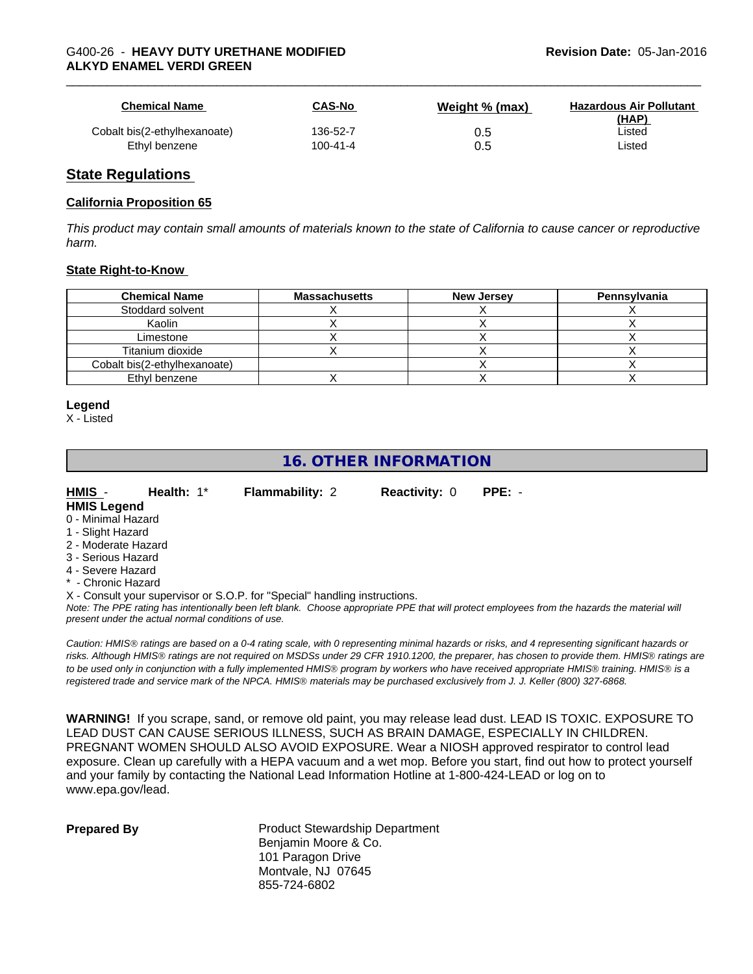| <b>Chemical Name</b>         | <b>CAS-No</b> | Weight % (max) | <b>Hazardous Air Pollutant</b><br>(HAP) |
|------------------------------|---------------|----------------|-----------------------------------------|
| Cobalt bis(2-ethylhexanoate) | 136-52-7      | 0.5            | Listed                                  |
| Ethyl benzene                | 100-41-4      | 0.5            | Listed                                  |

#### **State Regulations**

#### **California Proposition 65**

This product may contain small amounts of materials known to the state of California to cause cancer or reproductive *harm.*

#### **State Right-to-Know**

| <b>Chemical Name</b>         | <b>Massachusetts</b> | <b>New Jersey</b> | Pennsylvania |
|------------------------------|----------------------|-------------------|--------------|
| Stoddard solvent             |                      |                   |              |
| Kaolin                       |                      |                   |              |
| Limestone                    |                      |                   |              |
| Titanium dioxide             |                      |                   |              |
| Cobalt bis(2-ethylhexanoate) |                      |                   |              |
| Ethyl benzene                |                      |                   |              |

#### **Legend**

X - Listed

# **16. OTHER INFORMATION**

| HMIS -             | Health: $1^*$ | <b>Flammability: 2</b> | <b>Reactivity: 0 PPE: -</b> |  |
|--------------------|---------------|------------------------|-----------------------------|--|
| <b>HMIS Logand</b> |               |                        |                             |  |

#### **HMIS Legend**

- 0 Minimal Hazard
- 1 Slight Hazard
- 2 Moderate Hazard
- 3 Serious Hazard
- 4 Severe Hazard
- **Chronic Hazard**

X - Consult your supervisor or S.O.P. for "Special" handling instructions.

*Note: The PPE rating has intentionally been left blank. Choose appropriate PPE that will protect employees from the hazards the material will present under the actual normal conditions of use.*

*Caution: HMISÒ ratings are based on a 0-4 rating scale, with 0 representing minimal hazards or risks, and 4 representing significant hazards or risks. Although HMISÒ ratings are not required on MSDSs under 29 CFR 1910.1200, the preparer, has chosen to provide them. HMISÒ ratings are to be used only in conjunction with a fully implemented HMISÒ program by workers who have received appropriate HMISÒ training. HMISÒ is a registered trade and service mark of the NPCA. HMISÒ materials may be purchased exclusively from J. J. Keller (800) 327-6868.*

**WARNING!** If you scrape, sand, or remove old paint, you may release lead dust. LEAD IS TOXIC. EXPOSURE TO LEAD DUST CAN CAUSE SERIOUS ILLNESS, SUCH AS BRAIN DAMAGE, ESPECIALLY IN CHILDREN. PREGNANT WOMEN SHOULD ALSO AVOID EXPOSURE.Wear a NIOSH approved respirator to control lead exposure. Clean up carefully with a HEPA vacuum and a wet mop. Before you start, find out how to protect yourself and your family by contacting the National Lead Information Hotline at 1-800-424-LEAD or log on to www.epa.gov/lead.

| <b>Prepared By</b> |
|--------------------|
|--------------------|

**Product Stewardship Department** Benjamin Moore & Co. 101 Paragon Drive Montvale, NJ 07645 855-724-6802